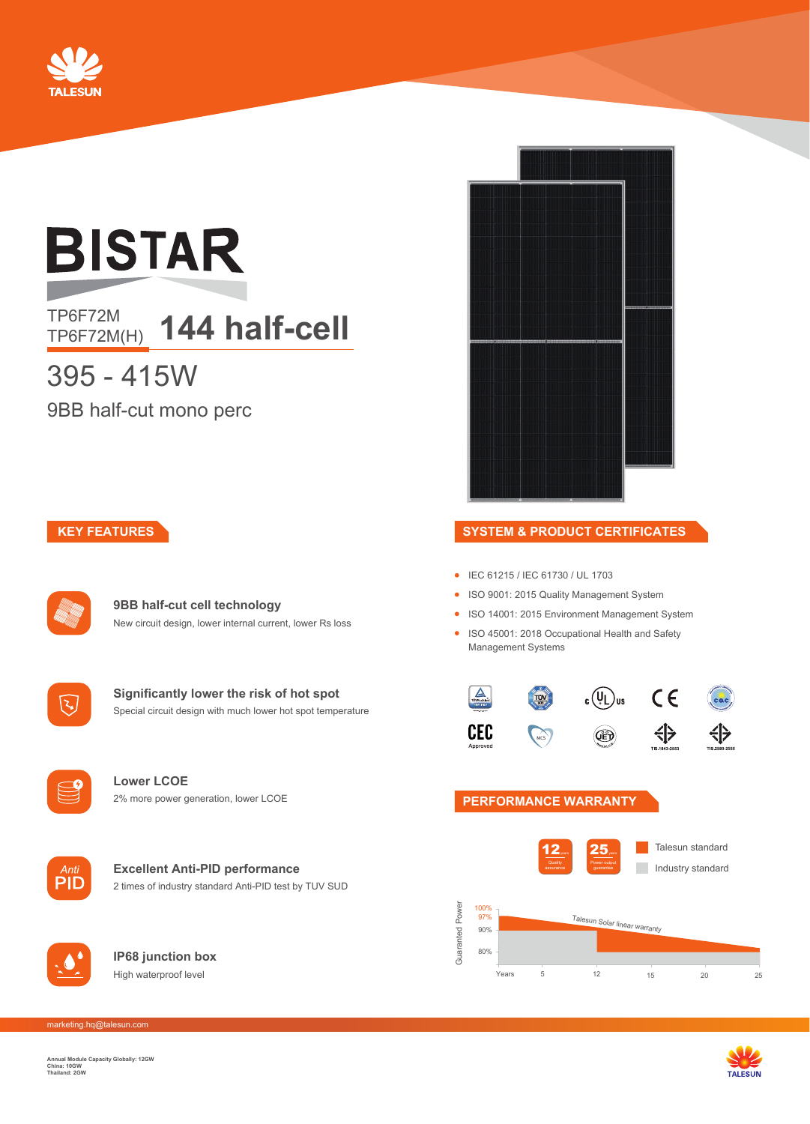

# **BISTAR**

### TP6F72M<br>TP6F72M(H) **144 half-cell**

## 395 - 415W

9BB half-cut mono perc

#### **KEY FEATURES**

|              | HANNO |
|--------------|-------|
| <b>Alley</b> |       |
|              |       |
|              |       |
|              |       |

**9BB half-cut cell technology** New circuit design, lower internal current, lower Rs loss



**Significantly lower the risk of hot spot** Special circuit design with much lower hot spot temperature



**Lower LCOE** 2% more power generation, lower LCOE

|  | Inti |
|--|------|
|  |      |
|  |      |

#### **Excellent Anti-PID performance**  2 times of industry standard Anti-PID test by TUV SUD



**IP68 junction box** High waterproof level



#### **SYSTEM & PRODUCT CERTIFICATES**

- IEC 61215 / IEC 61730 / UL 1703
- ISO 9001: 2015 Quality Management System
- **ISO 14001: 2015 Environment Management System**
- ISO 45001: 2018 Occupational Health and Safety Management Systems



#### **PERFORMANCE WARRANTY**